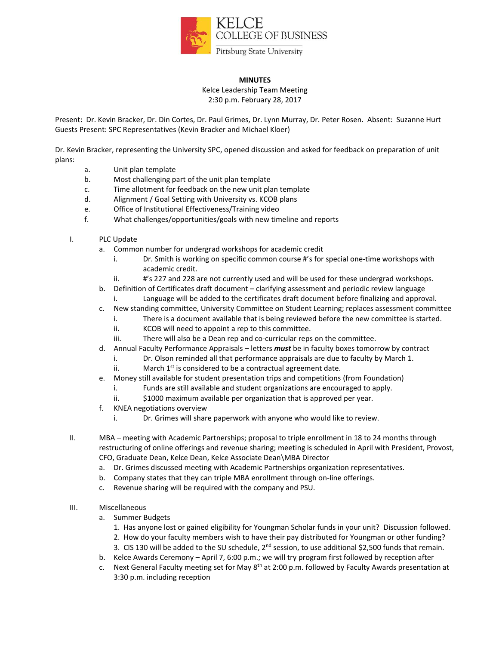

## **MINUTES**

Kelce Leadership Team Meeting 2:30 p.m. February 28, 2017

Present: Dr. Kevin Bracker, Dr. Din Cortes, Dr. Paul Grimes, Dr. Lynn Murray, Dr. Peter Rosen. Absent: Suzanne Hurt Guests Present: SPC Representatives (Kevin Bracker and Michael Kloer)

Dr. Kevin Bracker, representing the University SPC, opened discussion and asked for feedback on preparation of unit plans:

- a. Unit plan template
- b. Most challenging part of the unit plan template
- c. Time allotment for feedback on the new unit plan template
- d. Alignment / Goal Setting with University vs. KCOB plans
- e. Office of Institutional Effectiveness/Training video
- f. What challenges/opportunities/goals with new timeline and reports
- I. PLC Update
	- a. Common number for undergrad workshops for academic credit
		- i. Dr. Smith is working on specific common course #'s for special one-time workshops with academic credit.
		- ii.  $\#$ 's 227 and 228 are not currently used and will be used for these undergrad workshops.
	- b. Definition of Certificates draft document clarifying assessment and periodic review language
		- i. Language will be added to the certificates draft document before finalizing and approval.
	- c. New standing committee, University Committee on Student Learning; replaces assessment committee
		- i. There is a document available that is being reviewed before the new committee is started.
		- ii. KCOB will need to appoint a rep to this committee.
		- iii. There will also be a Dean rep and co-curricular reps on the committee.
	- d. Annual Faculty Performance Appraisals letters *must* be in faculty boxes tomorrow by contract
		- i. Dr. Olson reminded all that performance appraisals are due to faculty by March 1.
		- ii. March  $1^{st}$  is considered to be a contractual agreement date.
	- e. Money still available for student presentation trips and competitions (from Foundation)
		- i. Funds are still available and student organizations are encouraged to apply.
		- ii.  $\sharp$ 1000 maximum available per organization that is approved per year.
	- f. KNEA negotiations overview
		- i. Dr. Grimes will share paperwork with anyone who would like to review.
- II. MBA meeting with Academic Partnerships; proposal to triple enrollment in 18 to 24 months through restructuring of online offerings and revenue sharing; meeting is scheduled in April with President, Provost, CFO, Graduate Dean, Kelce Dean, Kelce Associate Dean\MBA Director
	- a. Dr. Grimes discussed meeting with Academic Partnerships organization representatives.
	- b. Company states that they can triple MBA enrollment through on-line offerings.
	- c. Revenue sharing will be required with the company and PSU.
- III. Miscellaneous
	- a. Summer Budgets
		- 1. Has anyone lost or gained eligibility for Youngman Scholar funds in your unit? Discussion followed.
		- 2. How do your faculty members wish to have their pay distributed for Youngman or other funding?
		- 3. CIS 130 will be added to the SU schedule, 2<sup>nd</sup> session, to use additional \$2,500 funds that remain.
	- b. Kelce Awards Ceremony April 7, 6:00 p.m.; we will try program first followed by reception after
	- c. Next General Faculty meeting set for May 8th at 2:00 p.m. followed by Faculty Awards presentation at 3:30 p.m. including reception